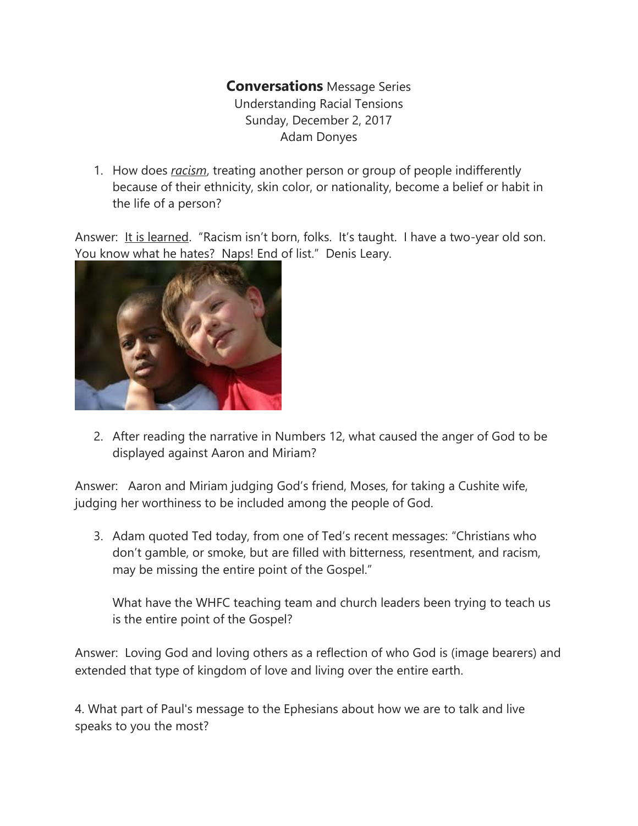## **Conversations** Message Series Understanding Racial Tensions Sunday, December 2, 2017 Adam Donyes

1. How does *racism*, treating another person or group of people indifferently because of their ethnicity, skin color, or nationality, become a belief or habit in the life of a person?

Answer: It is learned. "Racism isn't born, folks. It's taught. I have a two-year old son. You know what he hates? Naps! End of list." Denis Leary.



2. After reading the narrative in Numbers 12, what caused the anger of God to be displayed against Aaron and Miriam?

Answer: Aaron and Miriam judging God's friend, Moses, for taking a Cushite wife, judging her worthiness to be included among the people of God.

3. Adam quoted Ted today, from one of Ted's recent messages: "Christians who don't gamble, or smoke, but are filled with bitterness, resentment, and racism, may be missing the entire point of the Gospel."

What have the WHFC teaching team and church leaders been trying to teach us is the entire point of the Gospel?

Answer: Loving God and loving others as a reflection of who God is (image bearers) and extended that type of kingdom of love and living over the entire earth.

4. What part of Paul's message to the Ephesians about how we are to talk and live speaks to you the most?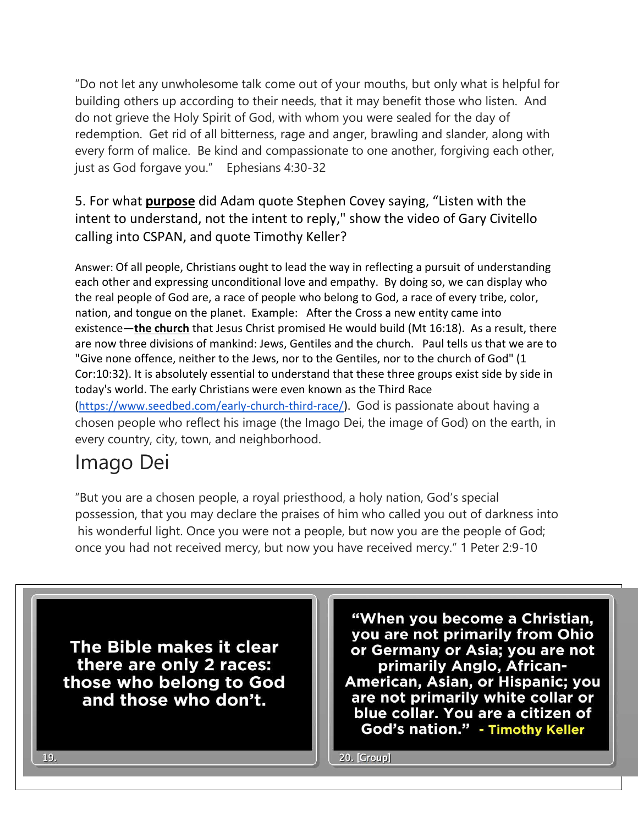"Do not let any unwholesome talk come out of your mouths, but only what is helpful for building others up according to their needs, that it may benefit those who listen. And do not grieve the Holy Spirit of God, with whom you were sealed for the day of redemption. Get rid of all bitterness, rage and anger, brawling and slander, along with every form of malice. Be kind and compassionate to one another, forgiving each other, just as God forgave you." Ephesians 4:30-32

5. For what **purpose** did Adam quote Stephen Covey saying, "Listen with the intent to understand, not the intent to reply," show the video of Gary Civitello calling into CSPAN, and quote Timothy Keller?

Answer: Of all people, Christians ought to lead the way in reflecting a pursuit of understanding each other and expressing unconditional love and empathy. By doing so, we can display who the real people of God are, a race of people who belong to God, a race of every tribe, color, nation, and tongue on the planet. Example: After the Cross a new entity came into existence—**the church** that Jesus Christ promised He would build (Mt 16:18). As a result, there are now three divisions of mankind: Jews, Gentiles and the church. Paul tells us that we are to "Give none offence, neither to the Jews, nor to the Gentiles, nor to the church of God" (1 Cor:10:32). It is absolutely essential to understand that these three groups exist side by side in today's world. The early Christians were even known as the Third Race [\(https://www.seedbed.com/early-church-third-race/\)](https://www.seedbed.com/early-church-third-race/). God is passionate about having a chosen people who reflect his image (the Imago Dei, the image of God) on the earth, in every country, city, town, and neighborhood.

## Imago Dei

"But you are a chosen people, a royal priesthood, a holy nation, God's special possession, that you may declare the praises of him who called you out of darkness into his wonderful light. Once you were not a people, but now you are the people of God; once you had not received mercy, but now you have received mercy." 1 Peter 2:9-10

The Bible makes it clear there are only 2 races: those who belong to God and those who don't.

"When you become a Christian, you are not primarily from Ohio or Germany or Asia; you are not primarily Anglo, African-American, Asian, or Hispanic; you are not primarily white collar or blue collar. You are a citizen of God's nation." - Timothy Keller

20. [Group]